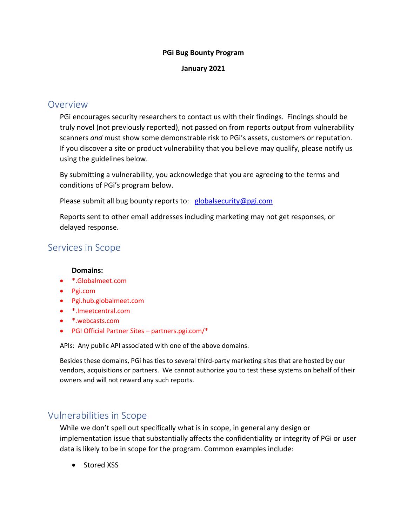#### **PGi Bug Bounty Program**

#### **January 2021**

## Overview

PGi encourages security researchers to contact us with their findings. Findings should be truly novel (not previously reported), not passed on from reports output from vulnerability scanners *and* must show some demonstrable risk to PGi's assets, customers or reputation. If you discover a site or product vulnerability that you believe may qualify, please notify us using the guidelines below.

By submitting a vulnerability, you acknowledge that you are agreeing to the terms and conditions of PGi's program below.

Please submit all bug bounty reports to: [globalsecurity@pgi.com](mailto:globalsecurity@pgi.com)

Reports sent to other email addresses including marketing may not get responses, or delayed response.

# Services in Scope

#### **Domains:**

- \*.Globalmeet.com
- Pgi.com
- Pgi.hub.globalmeet.com
- \*.Imeetcentral.com
- \*.webcasts.com
- PGI Official Partner Sites partners.pgi.com/\*

APIs: Any public API associated with one of the above domains.

Besides these domains, PGi has ties to several third-party marketing sites that are hosted by our vendors, acquisitions or partners. We cannot authorize you to test these systems on behalf of their owners and will not reward any such reports.

## Vulnerabilities in Scope

While we don't spell out specifically what is in scope, in general any design or implementation issue that substantially affects the confidentiality or integrity of PGi or user data is likely to be in scope for the program. Common examples include:

• Stored XSS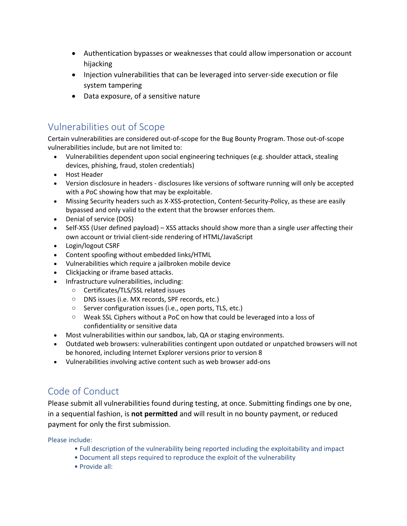- Authentication bypasses or weaknesses that could allow impersonation or account hijacking
- Injection vulnerabilities that can be leveraged into server-side execution or file system tampering
- Data exposure, of a sensitive nature

# Vulnerabilities out of Scope

Certain vulnerabilities are considered out-of-scope for the Bug Bounty Program. Those out-of-scope vulnerabilities include, but are not limited to:

- Vulnerabilities dependent upon social engineering techniques (e.g. shoulder attack, stealing devices, phishing, fraud, stolen credentials)
- Host Header
- Version disclosure in headers disclosures like versions of software running will only be accepted with a PoC showing how that may be exploitable.
- Missing Security headers such as X-XSS-protection, Content-Security-Policy, as these are easily bypassed and only valid to the extent that the browser enforces them.
- Denial of service (DOS)
- Self-XSS (User defined payload) XSS attacks should show more than a single user affecting their own account or trivial client-side rendering of HTML/JavaScript
- Login/logout CSRF
- Content spoofing without embedded links/HTML
- Vulnerabilities which require a jailbroken mobile device
- Clickjacking or iframe based attacks.
- Infrastructure vulnerabilities, including:
	- o Certificates/TLS/SSL related issues
	- o DNS issues (i.e. MX records, SPF records, etc.)
	- o Server configuration issues (i.e., open ports, TLS, etc.)
	- o Weak SSL Ciphers without a PoC on how that could be leveraged into a loss of confidentiality or sensitive data
- Most vulnerabilities within our sandbox, lab, QA or staging environments.
- Outdated web browsers: vulnerabilities contingent upon outdated or unpatched browsers will not be honored, including Internet Explorer versions prior to version 8
- Vulnerabilities involving active content such as web browser add-ons

# Code of Conduct

Please submit all vulnerabilities found during testing, at once. Submitting findings one by one, in a sequential fashion, is **not permitted** and will result in no bounty payment, or reduced payment for only the first submission.

Please include:

- Full description of the vulnerability being reported including the exploitability and impact
- Document all steps required to reproduce the exploit of the vulnerability
- Provide all: